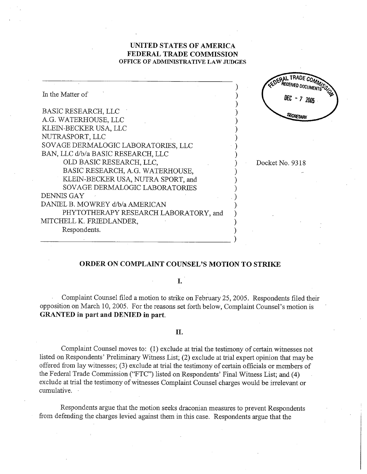# UNITED STATES OF AMERICA FEDERAL TRADE COMMISSION OFFICE OF ADMINISTRATIVE LAW JUDGES

| In the Matter of                      | CEDERAL WED DOCUMENTS STORY<br>DEC $-7$ |
|---------------------------------------|-----------------------------------------|
| BASIC RESEARCH, LLC                   |                                         |
| A.G. WATERHOUSE, LLC                  | SECRETARY                               |
| KLEIN-BECKER USA, LLC                 |                                         |
| NUTRASPORT, LLC                       |                                         |
| SOVAGE DERMALOGIC LABORATORIES, LLC   |                                         |
| BAN, LLC d/b/a BASIC RESEARCH, LLC    |                                         |
| OLD BASIC RESEARCH, LLC,              | Docket No. 9318                         |
| BASIC RESEARCH, A.G. WATERHOUSE,      |                                         |
| KLEIN-BECKER USA, NUTRA SPORT, and    |                                         |
| SOVAGE DERMALOGIC LABORATORIES        |                                         |
| DENNIS GAY                            |                                         |
| DANIEL B. MOWREY d/b/a AMERICAN       |                                         |
| PHYTOTHERAPY RESEARCH LABORATORY, and |                                         |
| MITCHELL K. FRIEDLANDER,              |                                         |
| Respondents.                          |                                         |
|                                       |                                         |

## ORDER ON COMPLAINT COUNSEL'S MOTION TO STRIKE

# I.

Complaint Counsel filed a motion to strike on February 25, 2005. Respondents filed their opposition on March 10, 2005. For the reasons set forth below, Complaint Counsel's motion is GRANTED in part and DENIED in part.

## II.

Complaint Counsel moves to: (1) exclude at trial the testimony of certain witnesses not listed on Respondents' Preliminary Witness List; (2) exclude at trial expert opinion that may be offered from lay witnesses; (3) exclude at trial the testimony of certain officials or members of the Federal Trade Commission ("FTC") listed on Respondents' Final Witness List; and (4) exclude at trial the testimony of witnesses Complaint Counsel charges would be irrelevant or cumulative.

Respondents argue that the motion seeks draconian measures to prevent Respondents from defending the charges levied against them in this case. Respondents argue that the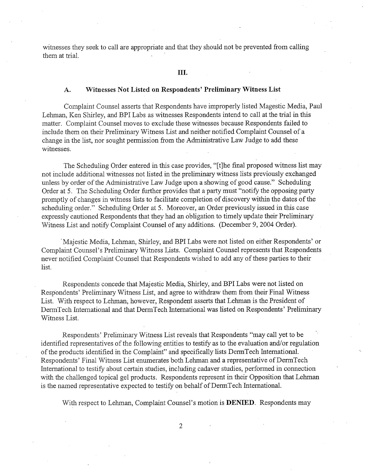witnesses they seek to call are appropriate and that they should not be prevented from calling them at trial.

## Witnesses Not Listed on Respondents' Preliminary Witness List  $A.$

Complaint Counsel asserts that Respondents have improperly listed Magestic Media, Paul Lelnnan, Ken Shirley, and BPI Labs as witnesses Respondents intend to call at the trial in this matter. Complaint Counsel moves to exclude these witnesses because Respondents failed to include them on their Preliminary Witness List and neither notified Complaint Counsel of a change in the list, nor sought permission from the Administrative Law Judge to add these witnesses.

The Scheduling Order entered in this case provides, "[t]he final proposed witness list may not include additional witnesses not listed in the preliminary witness lists previously exchanged unless by order of the Administrative Law Judge upon a showing of good cause." Scheduling Order at 5. The Scheduling Order further provides that a party must "notify the opposing pary promptly of changes in witness lists to facilitate completion of discovery within the dates of the scheduling order." Scheduling Order at 5. Moreover, an Order previously issued in this case expressly cautioned Respondents that they had an obligation to timely update their Preliminar Witness List and notify Complaint Counsel of any additions. (December 9, 2004 Order).

Majestic Media, Lehman, Shirley, and BPI Labs were not listed on either Respondents' or Complaint Counsel's Preliminary Witness Lists. Complaint Counsel represents that Respondents never notified Complaint Counsel that Respondents wished to add any of these parties to their list.

Respondents concede that Majestic Media, Shirley, and BPI Labs were not listed on Respondents' Preliminary Witness List, and agree to withdraw them from their Final Witness List. With respect to Lehman; however, Respondent asserts that Lehman is the President of DermTech Intemational and that DermTech International was listed on Respondents' Preliminar Witness List.

Respondents' Preliminary Witness List reveals that Respondents " may call yet to be identified representatives of the following entities to testify as to the evaluation and/or regulation of the products identified in the Complaint" and specifically lists DermTech International. Respondents' Final Witness List enumerates both Lehman and a representative of DermTech International to testify about certain studies, including cadaver studies, performed in connection with the challenged topical gel products. Respondents represent in their Opposition that Lehman is the named representative expected to testify on behalf of DermTech International.

With respect to Lehman, Complaint Counsel's motion is **DENIED**. Respondents may

 $\overline{2}$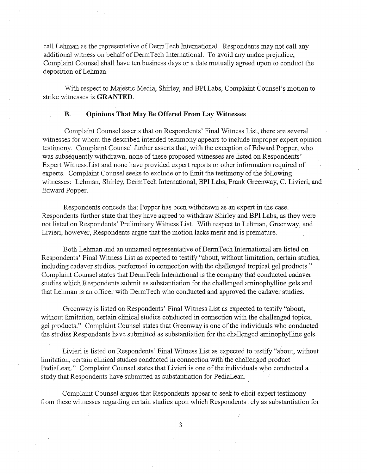call Lehman as the representative of DermTech International. Respondents may not call any additional witness on behalf of DermTech International. To avoid any undue prejudice Complaint Counsel shall have ten business days or a date mutually agreed upon to conduct the deposition of Lelnnan.

With respect to Majestic Media, Shirley, and BPI Labs, Complaint Counsel's motion to strike witnesses is GRANTED.

#### $\mathbf{B}$ . Opinions That May Be Offered From Lay Witnesses

Complaint Counsel asserts that on Respondents' Final Witness List, there are several witnesses for whom the described intended testimony appears to include improper expert opinion testimony. Complaint Counsel further asserts that, with the exception of Edward Popper, who was subsequently withdrawn, none of these proposed witnesses are listed on Respondents' Expert Witness.List and none have provided expert reports or other information required of experts. Complaint Counsel seeks to exclude or to limt the testimony of the following witnesses: Lehman, Shirley, DermTech International, BPI Labs, Frank Greenway, C. Livieri, and Edward Popper.

Respondents concede that Popper has been withdrawn as an expert in the case. Respondents further state that they have agreed to withdraw Shirley and BPI Labs, as they were not listed on Respondents' Preliminary Witness List. With respect to Lehman, Greenway, and Livieri, however, Respondents argue that the motion lacks merit and is premature.

Both Lehman and an unnamed representative of DermTech International are listed on Respondents' Final Witness List as expected to testify " about, without limitation, certain studies including cadaver studies, performed in connection with the challenged tropical gel products." Complaint Counsel states that DermTech International is the company that conducted cadaver studies which Respondents submit as substantiation for the challenged aminophylline gels and that Lelnnan is an officer with DermTech who conducted and approved the cadaver studies.

Greenway is listed on Respondents' Final Witness List as expected to testify " about without limitation, certain clinical studies conducted in connection with the challenged topical gel products." Complaint Counsel states that Greenway is one of the individuals who conducted the studies Respondents have submitted as substantiation for the challenged aminophylline gels.

Livieri is listed on Respondents' Final Witness List as expected to testify " about, without limitation, certain clinical studies conducted in connection with the challenged product PediaLean." Complaint Counsel states that Livieri is one of the individuals who conducted a study that Respondents have submitted as substantiation for PediaLean.

Complaint Counsel argues that Respondents appear to seek to elicit expert testimony from these witnesses regarding certain studies upon which Respondents rely as substantiation for

 $\overline{3}$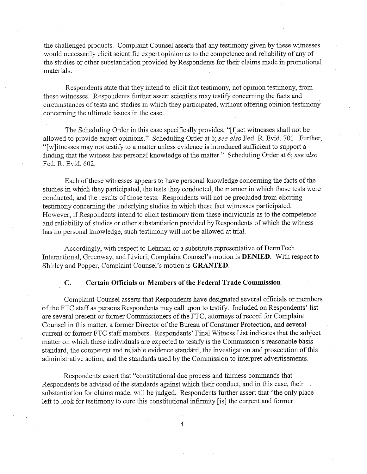the challenged products. Complaint Counsel asserts that any testimony given by these witnesses WOllld necessarily elicit scientific expert opinion as to the competence and reliability of any of the studies or other substantiation provided by Respondents for their claims made in promotional materials.

Respondents state that they intend to elicit fact testimony, not opinion testimony, from these witnesses. Respondents further assert scientists may testify concerning the facts and circumstances of tests and studies in which they participated, without offering opinion testimony concerning the ultimate issues in the case.

The Scheduling Order in this case specifically provides, "[f]act witnesses shall not be allowed to provide expert opinions." Scheduling Order at 6; see also Fed. R. Evid. 701. Further, "[w]itnesses may not testify to a matter unless evidence is introduced sufficient to support a finding that the witness has personal knowledge of the matter." Scheduling Order at 6; see also Fed. R. Evid. 602.

Each of these witnesses appears to have personal knowledge concerning the facts of the studies in which they participated, the tests they conducted, the manner in which those tests were conducted, and the results of those tests. Respondents will not be precluded from eliciting testimony concerning the underlying studies in which these fact witnesses participated. However, if Respondents intend to elicit testimony from these individuals as to the competence and reliability of studies or other substantiation provided by Respondents of which the witness has no personal knowledge, such testimony will not be allowed at trial.

Accordingly, with respect to Lehman or a substitute representative of DermTech International, Greenway, and Livieri, Complaint Counsel's motion is **DENIED**. With respect to Shirley and Popper, Complaint Counsel's motion is GRANTED.

### $\mathbf{C}$ . Certain Officials or Members of the Federal Trade Commission

Complaint Counsel asserts that Respondents have designated several officials or members of the FTC staff as persons Respondents may call upon to testify. Included on Respondents' list are several present or former Commissioners of the FTC, attorneys of record for Complaint Counsel in this matter, a former Director of the Bureau of Consumer Protection, and several current or former FTC staff members. Respondents' Final Witness List indicates that the subject matter on which these individuals are expected to testify is the Commission's reasonable basis standard, the competent and reliable evidence standard, the investigation and prosecution of this administrative action, and the standards used by the Commission to interpret advertisements.

Respondents assert that "constitutional due process and fairness commands that Respondents be advised of the standards against which their conduct, and in this case, their substantiation for claims made, will be judged. Respondents further assert that "the only place left to look for testimony to cure this constitutional infirmity (is) the current and former

 $\overline{4}$